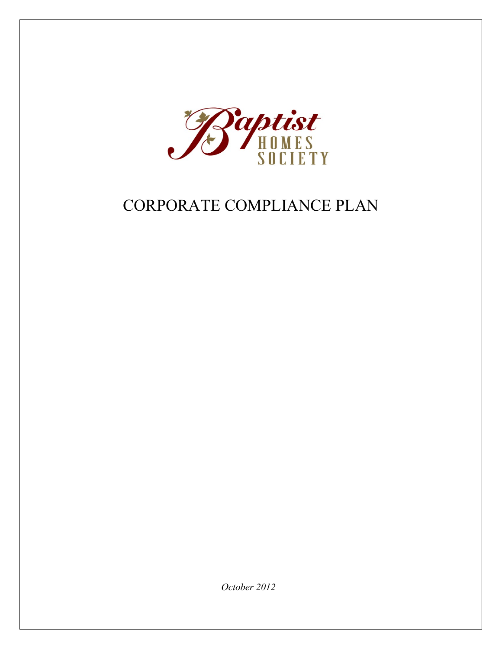

# CORPORATE COMPLIANCE PLAN

*October 2012*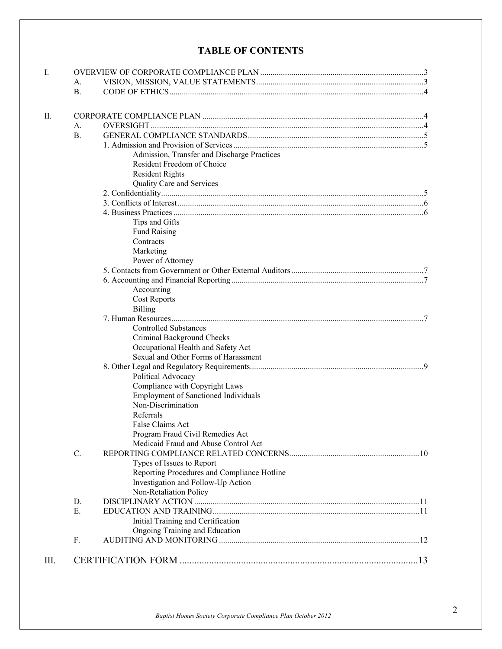# **TABLE OF CONTENTS**

| I.  |                |                                             |  |  |
|-----|----------------|---------------------------------------------|--|--|
|     | А.             |                                             |  |  |
|     | <b>B.</b>      |                                             |  |  |
|     |                |                                             |  |  |
| II. |                |                                             |  |  |
|     | А.             |                                             |  |  |
|     | B <sub>1</sub> |                                             |  |  |
|     |                |                                             |  |  |
|     |                | Admission, Transfer and Discharge Practices |  |  |
|     |                | Resident Freedom of Choice                  |  |  |
|     |                | <b>Resident Rights</b>                      |  |  |
|     |                | Quality Care and Services                   |  |  |
|     |                |                                             |  |  |
|     |                |                                             |  |  |
|     |                |                                             |  |  |
|     |                | Tips and Gifts                              |  |  |
|     |                | <b>Fund Raising</b>                         |  |  |
|     |                | Contracts                                   |  |  |
|     |                | Marketing                                   |  |  |
|     |                | Power of Attorney                           |  |  |
|     |                |                                             |  |  |
|     |                |                                             |  |  |
|     |                | Accounting                                  |  |  |
|     |                | <b>Cost Reports</b>                         |  |  |
|     |                | <b>Billing</b>                              |  |  |
|     |                |                                             |  |  |
|     |                | <b>Controlled Substances</b>                |  |  |
|     |                | Criminal Background Checks                  |  |  |
|     |                | Occupational Health and Safety Act          |  |  |
|     |                | Sexual and Other Forms of Harassment        |  |  |
|     |                |                                             |  |  |
|     |                | Political Advocacy                          |  |  |
|     |                | Compliance with Copyright Laws              |  |  |
|     |                | <b>Employment of Sanctioned Individuals</b> |  |  |
|     |                | Non-Discrimination                          |  |  |
|     |                | Referrals                                   |  |  |
|     |                | False Claims Act                            |  |  |
|     |                | Program Fraud Civil Remedies Act            |  |  |
|     |                | Medicaid Fraud and Abuse Control Act        |  |  |
|     | C.             |                                             |  |  |
|     |                | Types of Issues to Report                   |  |  |
|     |                | Reporting Procedures and Compliance Hotline |  |  |
|     |                | Investigation and Follow-Up Action          |  |  |
|     |                | Non-Retaliation Policy                      |  |  |
|     | D.             |                                             |  |  |
|     | E.             |                                             |  |  |
|     |                | Initial Training and Certification          |  |  |
|     |                | Ongoing Training and Education              |  |  |
|     | F.             |                                             |  |  |
|     |                |                                             |  |  |
| Ш.  |                |                                             |  |  |
|     |                |                                             |  |  |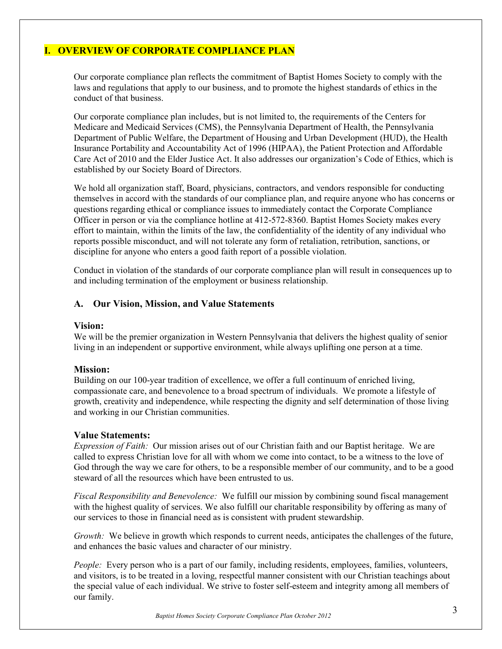# **I. OVERVIEW OF CORPORATE COMPLIANCE PLAN**

Our corporate compliance plan reflects the commitment of Baptist Homes Society to comply with the laws and regulations that apply to our business, and to promote the highest standards of ethics in the conduct of that business.

Our corporate compliance plan includes, but is not limited to, the requirements of the Centers for Medicare and Medicaid Services (CMS), the Pennsylvania Department of Health, the Pennsylvania Department of Public Welfare, the Department of Housing and Urban Development (HUD), the Health Insurance Portability and Accountability Act of 1996 (HIPAA), the Patient Protection and Affordable Care Act of 2010 and the Elder Justice Act. It also addresses our organization's Code of Ethics, which is established by our Society Board of Directors.

We hold all organization staff, Board, physicians, contractors, and vendors responsible for conducting themselves in accord with the standards of our compliance plan, and require anyone who has concerns or questions regarding ethical or compliance issues to immediately contact the Corporate Compliance Officer in person or via the compliance hotline at 412-572-8360. Baptist Homes Society makes every effort to maintain, within the limits of the law, the confidentiality of the identity of any individual who reports possible misconduct, and will not tolerate any form of retaliation, retribution, sanctions, or discipline for anyone who enters a good faith report of a possible violation.

Conduct in violation of the standards of our corporate compliance plan will result in consequences up to and including termination of the employment or business relationship.

## **A. Our Vision, Mission, and Value Statements**

#### **Vision:**

We will be the premier organization in Western Pennsylvania that delivers the highest quality of senior living in an independent or supportive environment, while always uplifting one person at a time.

## **Mission:**

Building on our 100-year tradition of excellence, we offer a full continuum of enriched living, compassionate care, and benevolence to a broad spectrum of individuals. We promote a lifestyle of growth, creativity and independence, while respecting the dignity and self determination of those living and working in our Christian communities.

## **Value Statements:**

*Expression of Faith:* Our mission arises out of our Christian faith and our Baptist heritage. We are called to express Christian love for all with whom we come into contact, to be a witness to the love of God through the way we care for others, to be a responsible member of our community, and to be a good steward of all the resources which have been entrusted to us.

*Fiscal Responsibility and Benevolence:* We fulfill our mission by combining sound fiscal management with the highest quality of services. We also fulfill our charitable responsibility by offering as many of our services to those in financial need as is consistent with prudent stewardship.

*Growth:* We believe in growth which responds to current needs, anticipates the challenges of the future, and enhances the basic values and character of our ministry.

*People:* Every person who is a part of our family, including residents, employees, families, volunteers, and visitors, is to be treated in a loving, respectful manner consistent with our Christian teachings about the special value of each individual. We strive to foster self-esteem and integrity among all members of our family.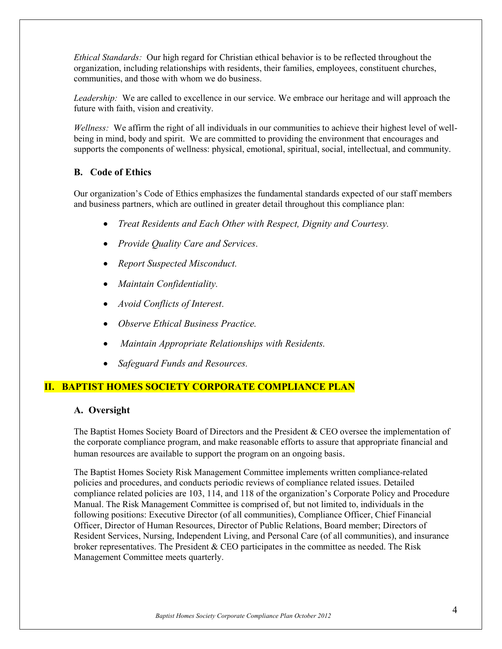*Ethical Standards:* Our high regard for Christian ethical behavior is to be reflected throughout the organization, including relationships with residents, their families, employees, constituent churches, communities, and those with whom we do business.

*Leadership:* We are called to excellence in our service. We embrace our heritage and will approach the future with faith, vision and creativity.

*Wellness:* We affirm the right of all individuals in our communities to achieve their highest level of wellbeing in mind, body and spirit. We are committed to providing the environment that encourages and supports the components of wellness: physical, emotional, spiritual, social, intellectual, and community.

## **B. Code of Ethics**

Our organization's Code of Ethics emphasizes the fundamental standards expected of our staff members and business partners, which are outlined in greater detail throughout this compliance plan:

- *Treat Residents and Each Other with Respect, Dignity and Courtesy.*
- *Provide Quality Care and Services*.
- *Report Suspected Misconduct.*
- *Maintain Confidentiality.*
- *Avoid Conflicts of Interest*.
- *Observe Ethical Business Practice.*
- *Maintain Appropriate Relationships with Residents.*
- *Safeguard Funds and Resources.*

# **II. BAPTIST HOMES SOCIETY CORPORATE COMPLIANCE PLAN**

## **A. Oversight**

The Baptist Homes Society Board of Directors and the President & CEO oversee the implementation of the corporate compliance program, and make reasonable efforts to assure that appropriate financial and human resources are available to support the program on an ongoing basis.

The Baptist Homes Society Risk Management Committee implements written compliance-related policies and procedures, and conducts periodic reviews of compliance related issues. Detailed compliance related policies are 103, 114, and 118 of the organization's Corporate Policy and Procedure Manual. The Risk Management Committee is comprised of, but not limited to, individuals in the following positions: Executive Director (of all communities), Compliance Officer, Chief Financial Officer, Director of Human Resources, Director of Public Relations, Board member; Directors of Resident Services, Nursing, Independent Living, and Personal Care (of all communities), and insurance broker representatives. The President  $&$  CEO participates in the committee as needed. The Risk Management Committee meets quarterly.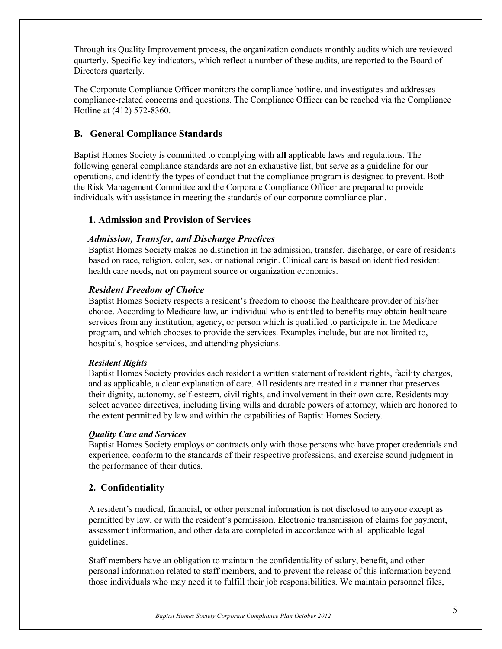Through its Quality Improvement process, the organization conducts monthly audits which are reviewed quarterly. Specific key indicators, which reflect a number of these audits, are reported to the Board of Directors quarterly.

The Corporate Compliance Officer monitors the compliance hotline, and investigates and addresses compliance-related concerns and questions. The Compliance Officer can be reached via the Compliance Hotline at (412) 572-8360.

## **B. General Compliance Standards**

Baptist Homes Society is committed to complying with **all** applicable laws and regulations. The following general compliance standards are not an exhaustive list, but serve as a guideline for our operations, and identify the types of conduct that the compliance program is designed to prevent. Both the Risk Management Committee and the Corporate Compliance Officer are prepared to provide individuals with assistance in meeting the standards of our corporate compliance plan.

## **1. Admission and Provision of Services**

## *Admission, Transfer, and Discharge Practices*

Baptist Homes Society makes no distinction in the admission, transfer, discharge, or care of residents based on race, religion, color, sex, or national origin. Clinical care is based on identified resident health care needs, not on payment source or organization economics.

## *Resident Freedom of Choice*

Baptist Homes Society respects a resident's freedom to choose the healthcare provider of his/her choice. According to Medicare law, an individual who is entitled to benefits may obtain healthcare services from any institution, agency, or person which is qualified to participate in the Medicare program, and which chooses to provide the services. Examples include, but are not limited to, hospitals, hospice services, and attending physicians.

## *Resident Rights*

Baptist Homes Society provides each resident a written statement of resident rights, facility charges, and as applicable, a clear explanation of care. All residents are treated in a manner that preserves their dignity, autonomy, self-esteem, civil rights, and involvement in their own care. Residents may select advance directives, including living wills and durable powers of attorney, which are honored to the extent permitted by law and within the capabilities of Baptist Homes Society.

## *Quality Care and Services*

Baptist Homes Society employs or contracts only with those persons who have proper credentials and experience, conform to the standards of their respective professions, and exercise sound judgment in the performance of their duties.

## **2. Confidentiality**

A resident's medical, financial, or other personal information is not disclosed to anyone except as permitted by law, or with the resident's permission. Electronic transmission of claims for payment, assessment information, and other data are completed in accordance with all applicable legal guidelines.

Staff members have an obligation to maintain the confidentiality of salary, benefit, and other personal information related to staff members, and to prevent the release of this information beyond those individuals who may need it to fulfill their job responsibilities. We maintain personnel files,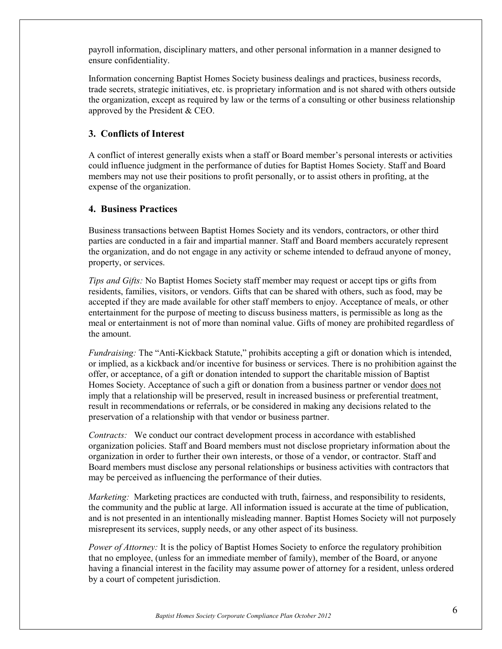payroll information, disciplinary matters, and other personal information in a manner designed to ensure confidentiality.

Information concerning Baptist Homes Society business dealings and practices, business records, trade secrets, strategic initiatives, etc. is proprietary information and is not shared with others outside the organization, except as required by law or the terms of a consulting or other business relationship approved by the President & CEO.

## **3. Conflicts of Interest**

A conflict of interest generally exists when a staff or Board member's personal interests or activities could influence judgment in the performance of duties for Baptist Homes Society. Staff and Board members may not use their positions to profit personally, or to assist others in profiting, at the expense of the organization.

## **4. Business Practices**

Business transactions between Baptist Homes Society and its vendors, contractors, or other third parties are conducted in a fair and impartial manner. Staff and Board members accurately represent the organization, and do not engage in any activity or scheme intended to defraud anyone of money, property, or services.

*Tips and Gifts:* No Baptist Homes Society staff member may request or accept tips or gifts from residents, families, visitors, or vendors. Gifts that can be shared with others, such as food, may be accepted if they are made available for other staff members to enjoy. Acceptance of meals, or other entertainment for the purpose of meeting to discuss business matters, is permissible as long as the meal or entertainment is not of more than nominal value. Gifts of money are prohibited regardless of the amount.

*Fundraising:* The "Anti-Kickback Statute," prohibits accepting a gift or donation which is intended, or implied, as a kickback and/or incentive for business or services. There is no prohibition against the offer, or acceptance, of a gift or donation intended to support the charitable mission of Baptist Homes Society. Acceptance of such a gift or donation from a business partner or vendor does not imply that a relationship will be preserved, result in increased business or preferential treatment, result in recommendations or referrals, or be considered in making any decisions related to the preservation of a relationship with that vendor or business partner.

*Contracts:* We conduct our contract development process in accordance with established organization policies. Staff and Board members must not disclose proprietary information about the organization in order to further their own interests, or those of a vendor, or contractor. Staff and Board members must disclose any personal relationships or business activities with contractors that may be perceived as influencing the performance of their duties.

*Marketing:* Marketing practices are conducted with truth, fairness, and responsibility to residents, the community and the public at large. All information issued is accurate at the time of publication, and is not presented in an intentionally misleading manner. Baptist Homes Society will not purposely misrepresent its services, supply needs, or any other aspect of its business.

*Power of Attorney:* It is the policy of Baptist Homes Society to enforce the regulatory prohibition that no employee, (unless for an immediate member of family), member of the Board, or anyone having a financial interest in the facility may assume power of attorney for a resident, unless ordered by a court of competent jurisdiction.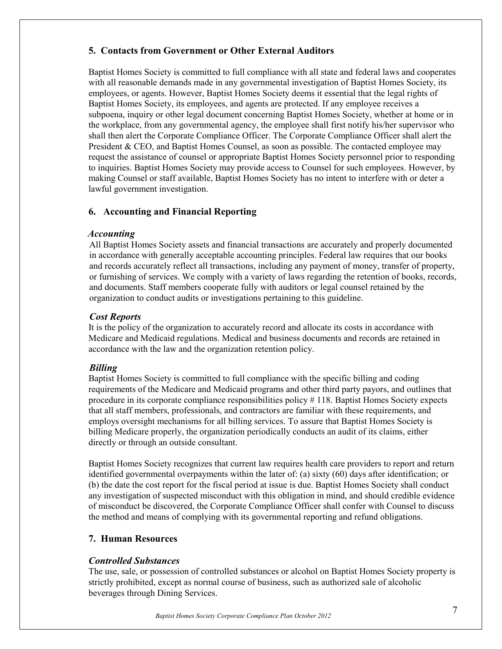# **5. Contacts from Government or Other External Auditors**

Baptist Homes Society is committed to full compliance with all state and federal laws and cooperates with all reasonable demands made in any governmental investigation of Baptist Homes Society, its employees, or agents. However, Baptist Homes Society deems it essential that the legal rights of Baptist Homes Society, its employees, and agents are protected. If any employee receives a subpoena, inquiry or other legal document concerning Baptist Homes Society, whether at home or in the workplace, from any governmental agency, the employee shall first notify his/her supervisor who shall then alert the Corporate Compliance Officer. The Corporate Compliance Officer shall alert the President  $&$  CEO, and Baptist Homes Counsel, as soon as possible. The contacted employee may request the assistance of counsel or appropriate Baptist Homes Society personnel prior to responding to inquiries. Baptist Homes Society may provide access to Counsel for such employees. However, by making Counsel or staff available, Baptist Homes Society has no intent to interfere with or deter a lawful government investigation.

# **6. Accounting and Financial Reporting**

## *Accounting*

All Baptist Homes Society assets and financial transactions are accurately and properly documented in accordance with generally acceptable accounting principles. Federal law requires that our books and records accurately reflect all transactions, including any payment of money, transfer of property, or furnishing of services. We comply with a variety of laws regarding the retention of books, records, and documents. Staff members cooperate fully with auditors or legal counsel retained by the organization to conduct audits or investigations pertaining to this guideline.

## *Cost Reports*

It is the policy of the organization to accurately record and allocate its costs in accordance with Medicare and Medicaid regulations. Medical and business documents and records are retained in accordance with the law and the organization retention policy.

## *Billing*

Baptist Homes Society is committed to full compliance with the specific billing and coding requirements of the Medicare and Medicaid programs and other third party payors, and outlines that procedure in its corporate compliance responsibilities policy # 118. Baptist Homes Society expects that all staff members, professionals, and contractors are familiar with these requirements, and employs oversight mechanisms for all billing services. To assure that Baptist Homes Society is billing Medicare properly, the organization periodically conducts an audit of its claims, either directly or through an outside consultant.

Baptist Homes Society recognizes that current law requires health care providers to report and return identified governmental overpayments within the later of: (a) sixty (60) days after identification; or (b) the date the cost report for the fiscal period at issue is due. Baptist Homes Society shall conduct any investigation of suspected misconduct with this obligation in mind, and should credible evidence of misconduct be discovered, the Corporate Compliance Officer shall confer with Counsel to discuss the method and means of complying with its governmental reporting and refund obligations.

## **7. Human Resources**

## *Controlled Substances*

The use, sale, or possession of controlled substances or alcohol on Baptist Homes Society property is strictly prohibited, except as normal course of business, such as authorized sale of alcoholic beverages through Dining Services.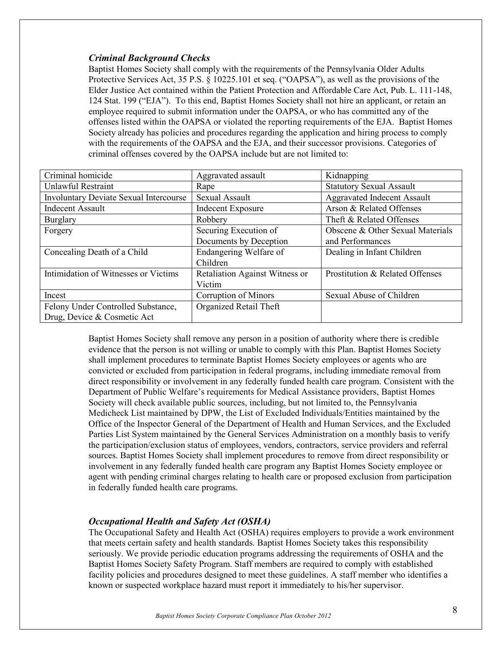## *Criminal Background Checks*

Baptist Homes Society shall comply with the requirements of the Pennsylvania Older Adults Protective Services Act, 35 P.S. § 10225.101 et seq. ("OAPSA"), as well as the provisions of the Elder Justice Act contained within the Patient Protection and Affordable Care Act, Pub. L. 111-148, 124 Stat. 199 ("EJA"). To this end, Baptist Homes Society shall not hire an applicant, or retain an employee required to submit information under the OAPSA, or who has committed any of the offenses listed within the OAPSA or violated the reporting requirements of the EJA. Baptist Homes Society already has policies and procedures regarding the application and hiring process to comply with the requirements of the OAPSA and the EJA, and their successor provisions. Categories of criminal offenses covered by the OAPSA include but are not limited to:

| Criminal homicide                             | Aggravated assault                    | Kidnapping                         |
|-----------------------------------------------|---------------------------------------|------------------------------------|
| Unlawful Restraint                            | Rape                                  | <b>Statutory Sexual Assault</b>    |
| <b>Involuntary Deviate Sexual Intercourse</b> | Sexual Assault                        | <b>Aggravated Indecent Assault</b> |
| <b>Indecent Assault</b>                       | <b>Indecent Exposure</b>              | Arson & Related Offenses           |
| <b>Burglary</b>                               | Robbery                               | Theft & Related Offenses           |
| Forgery                                       | Securing Execution of                 | Obscene & Other Sexual Materials   |
|                                               | Documents by Deception                | and Performances                   |
| Concealing Death of a Child                   | Endangering Welfare of                | Dealing in Infant Children         |
|                                               | Children                              |                                    |
| Intimidation of Witnesses or Victims          | <b>Retaliation Against Witness or</b> | Prostitution & Related Offenses    |
|                                               | Victim                                |                                    |
| Incest                                        | Corruption of Minors                  | Sexual Abuse of Children           |
| Felony Under Controlled Substance,            | Organized Retail Theft                |                                    |
| Drug, Device & Cosmetic Act                   |                                       |                                    |

Baptist Homes Society shall remove any person in a position of authority where there is credible evidence that the person is not willing or unable to comply with this Plan. Baptist Homes Society shall implement procedures to terminate Baptist Homes Society employees or agents who are convicted or excluded from participation in federal programs, including immediate removal from direct responsibility or involvement in any federally funded health care program. Consistent with the Department of Public Welfare's requirements for Medical Assistance providers, Baptist Homes Society will check available public sources, including, but not limited to, the Pennsylvania Medicheck List maintained by DPW, the List of Excluded Individuals/Entities maintained by the Office of the Inspector General of the Department of Health and Human Services, and the Excluded Parties List System maintained by the General Services Administration on a monthly basis to verify the participation/exclusion status of employees, vendors, contractors, service providers and referral sources. Baptist Homes Society shall implement procedures to remove from direct responsibility or involvement in any federally funded health care program any Baptist Homes Society employee or agent with pending criminal charges relating to health care or proposed exclusion from participation in federally funded health care programs.

## *Occupational Health and Safety Act (OSHA)*

The Occupational Safety and Health Act (OSHA) requires employers to provide a work environment that meets certain safety and health standards. Baptist Homes Society takes this responsibility seriously. We provide periodic education programs addressing the requirements of OSHA and the Baptist Homes Society Safety Program. Staff members are required to comply with established facility policies and procedures designed to meet these guidelines. A staff member who identifies a known or suspected workplace hazard must report it immediately to his/her supervisor.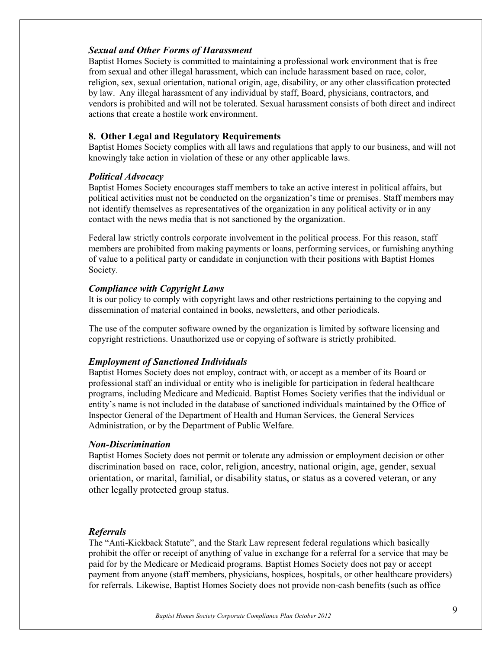## *Sexual and Other Forms of Harassment*

Baptist Homes Society is committed to maintaining a professional work environment that is free from sexual and other illegal harassment, which can include harassment based on race, color, religion, sex, sexual orientation, national origin, age, disability, or any other classification protected by law. Any illegal harassment of any individual by staff, Board, physicians, contractors, and vendors is prohibited and will not be tolerated. Sexual harassment consists of both direct and indirect actions that create a hostile work environment.

## **8. Other Legal and Regulatory Requirements**

Baptist Homes Society complies with all laws and regulations that apply to our business, and will not knowingly take action in violation of these or any other applicable laws.

## *Political Advocacy*

Baptist Homes Society encourages staff members to take an active interest in political affairs, but political activities must not be conducted on the organization's time or premises. Staff members may not identify themselves as representatives of the organization in any political activity or in any contact with the news media that is not sanctioned by the organization.

Federal law strictly controls corporate involvement in the political process. For this reason, staff members are prohibited from making payments or loans, performing services, or furnishing anything of value to a political party or candidate in conjunction with their positions with Baptist Homes Society.

## *Compliance with Copyright Laws*

It is our policy to comply with copyright laws and other restrictions pertaining to the copying and dissemination of material contained in books, newsletters, and other periodicals.

The use of the computer software owned by the organization is limited by software licensing and copyright restrictions. Unauthorized use or copying of software is strictly prohibited.

## *Employment of Sanctioned Individuals*

Baptist Homes Society does not employ, contract with, or accept as a member of its Board or professional staff an individual or entity who is ineligible for participation in federal healthcare programs, including Medicare and Medicaid. Baptist Homes Society verifies that the individual or entity's name is not included in the database of sanctioned individuals maintained by the Office of Inspector General of the Department of Health and Human Services, the General Services Administration, or by the Department of Public Welfare.

## *Non-Discrimination*

Baptist Homes Society does not permit or tolerate any admission or employment decision or other discrimination based on race, color, religion, ancestry, national origin, age, gender, sexual orientation, or marital, familial, or disability status, or status as a covered veteran, or any other legally protected group status.

## *Referrals*

The "Anti-Kickback Statute", and the Stark Law represent federal regulations which basically prohibit the offer or receipt of anything of value in exchange for a referral for a service that may be paid for by the Medicare or Medicaid programs. Baptist Homes Society does not pay or accept payment from anyone (staff members, physicians, hospices, hospitals, or other healthcare providers) for referrals. Likewise, Baptist Homes Society does not provide non-cash benefits (such as office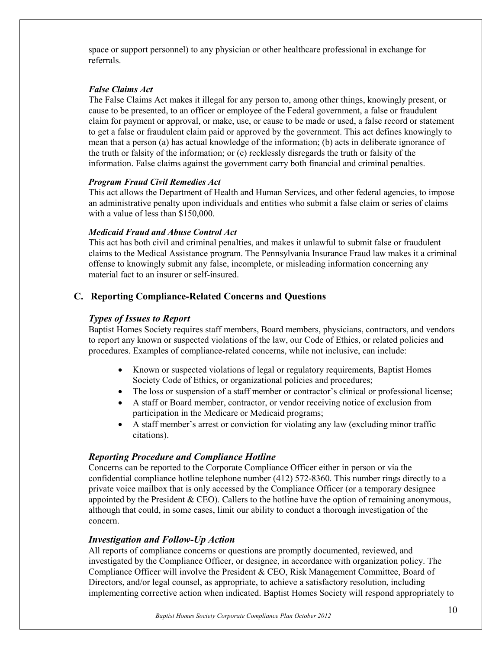space or support personnel) to any physician or other healthcare professional in exchange for referrals.

#### *False Claims Act*

The False Claims Act makes it illegal for any person to, among other things, knowingly present, or cause to be presented, to an officer or employee of the Federal government, a false or fraudulent claim for payment or approval, or make, use, or cause to be made or used, a false record or statement to get a false or fraudulent claim paid or approved by the government. This act defines knowingly to mean that a person (a) has actual knowledge of the information; (b) acts in deliberate ignorance of the truth or falsity of the information; or (c) recklessly disregards the truth or falsity of the information. False claims against the government carry both financial and criminal penalties.

#### *Program Fraud Civil Remedies Act*

This act allows the Department of Health and Human Services, and other federal agencies, to impose an administrative penalty upon individuals and entities who submit a false claim or series of claims with a value of less than \$150,000.

#### *Medicaid Fraud and Abuse Control Act*

This act has both civil and criminal penalties, and makes it unlawful to submit false or fraudulent claims to the Medical Assistance program. The Pennsylvania Insurance Fraud law makes it a criminal offense to knowingly submit any false, incomplete, or misleading information concerning any material fact to an insurer or self-insured.

## **C. Reporting Compliance-Related Concerns and Questions**

## *Types of Issues to Report*

Baptist Homes Society requires staff members, Board members, physicians, contractors, and vendors to report any known or suspected violations of the law, our Code of Ethics, or related policies and procedures. Examples of compliance-related concerns, while not inclusive, can include:

- Known or suspected violations of legal or regulatory requirements, Baptist Homes Society Code of Ethics, or organizational policies and procedures;
- The loss or suspension of a staff member or contractor's clinical or professional license;
- A staff or Board member, contractor, or vendor receiving notice of exclusion from participation in the Medicare or Medicaid programs;
- A staff member's arrest or conviction for violating any law (excluding minor traffic citations).

## *Reporting Procedure and Compliance Hotline*

Concerns can be reported to the Corporate Compliance Officer either in person or via the confidential compliance hotline telephone number (412) 572-8360. This number rings directly to a private voice mailbox that is only accessed by the Compliance Officer (or a temporary designee appointed by the President  $&$  CEO). Callers to the hotline have the option of remaining anonymous, although that could, in some cases, limit our ability to conduct a thorough investigation of the concern.

## *Investigation and Follow-Up Action*

All reports of compliance concerns or questions are promptly documented, reviewed, and investigated by the Compliance Officer, or designee, in accordance with organization policy. The Compliance Officer will involve the President & CEO, Risk Management Committee, Board of Directors, and/or legal counsel, as appropriate, to achieve a satisfactory resolution, including implementing corrective action when indicated. Baptist Homes Society will respond appropriately to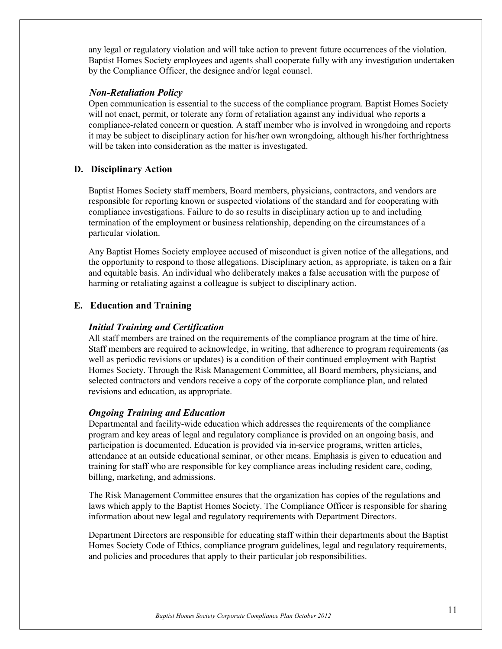any legal or regulatory violation and will take action to prevent future occurrences of the violation. Baptist Homes Society employees and agents shall cooperate fully with any investigation undertaken by the Compliance Officer, the designee and/or legal counsel.

## *Non-Retaliation Policy*

Open communication is essential to the success of the compliance program. Baptist Homes Society will not enact, permit, or tolerate any form of retaliation against any individual who reports a compliance-related concern or question. A staff member who is involved in wrongdoing and reports it may be subject to disciplinary action for his/her own wrongdoing, although his/her forthrightness will be taken into consideration as the matter is investigated.

## **D. Disciplinary Action**

Baptist Homes Society staff members, Board members, physicians, contractors, and vendors are responsible for reporting known or suspected violations of the standard and for cooperating with compliance investigations. Failure to do so results in disciplinary action up to and including termination of the employment or business relationship, depending on the circumstances of a particular violation.

Any Baptist Homes Society employee accused of misconduct is given notice of the allegations, and the opportunity to respond to those allegations. Disciplinary action, as appropriate, is taken on a fair and equitable basis. An individual who deliberately makes a false accusation with the purpose of harming or retaliating against a colleague is subject to disciplinary action.

## **E. Education and Training**

## *Initial Training and Certification*

All staff members are trained on the requirements of the compliance program at the time of hire. Staff members are required to acknowledge, in writing, that adherence to program requirements (as well as periodic revisions or updates) is a condition of their continued employment with Baptist Homes Society. Through the Risk Management Committee, all Board members, physicians, and selected contractors and vendors receive a copy of the corporate compliance plan, and related revisions and education, as appropriate.

## *Ongoing Training and Education*

Departmental and facility-wide education which addresses the requirements of the compliance program and key areas of legal and regulatory compliance is provided on an ongoing basis, and participation is documented. Education is provided via in-service programs, written articles, attendance at an outside educational seminar, or other means. Emphasis is given to education and training for staff who are responsible for key compliance areas including resident care, coding, billing, marketing, and admissions.

The Risk Management Committee ensures that the organization has copies of the regulations and laws which apply to the Baptist Homes Society. The Compliance Officer is responsible for sharing information about new legal and regulatory requirements with Department Directors.

Department Directors are responsible for educating staff within their departments about the Baptist Homes Society Code of Ethics, compliance program guidelines, legal and regulatory requirements, and policies and procedures that apply to their particular job responsibilities.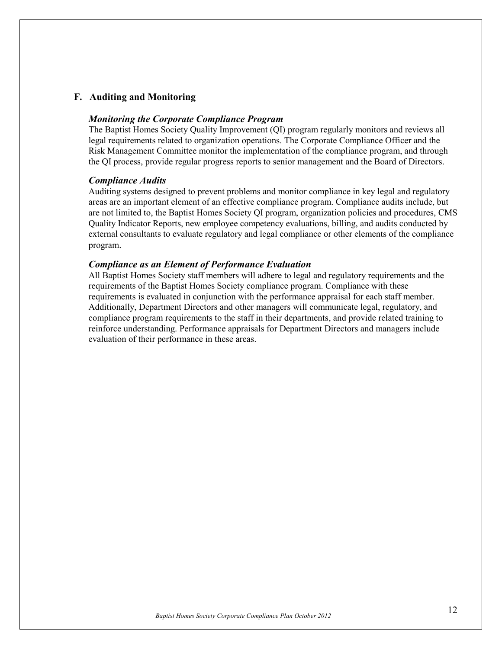## **F. Auditing and Monitoring**

#### *Monitoring the Corporate Compliance Program*

The Baptist Homes Society Quality Improvement (QI) program regularly monitors and reviews all legal requirements related to organization operations. The Corporate Compliance Officer and the Risk Management Committee monitor the implementation of the compliance program, and through the QI process, provide regular progress reports to senior management and the Board of Directors.

#### *Compliance Audits*

Auditing systems designed to prevent problems and monitor compliance in key legal and regulatory areas are an important element of an effective compliance program. Compliance audits include, but are not limited to, the Baptist Homes Society QI program, organization policies and procedures, CMS Quality Indicator Reports, new employee competency evaluations, billing, and audits conducted by external consultants to evaluate regulatory and legal compliance or other elements of the compliance program.

#### *Compliance as an Element of Performance Evaluation*

All Baptist Homes Society staff members will adhere to legal and regulatory requirements and the requirements of the Baptist Homes Society compliance program. Compliance with these requirements is evaluated in conjunction with the performance appraisal for each staff member. Additionally, Department Directors and other managers will communicate legal, regulatory, and compliance program requirements to the staff in their departments, and provide related training to reinforce understanding. Performance appraisals for Department Directors and managers include evaluation of their performance in these areas.